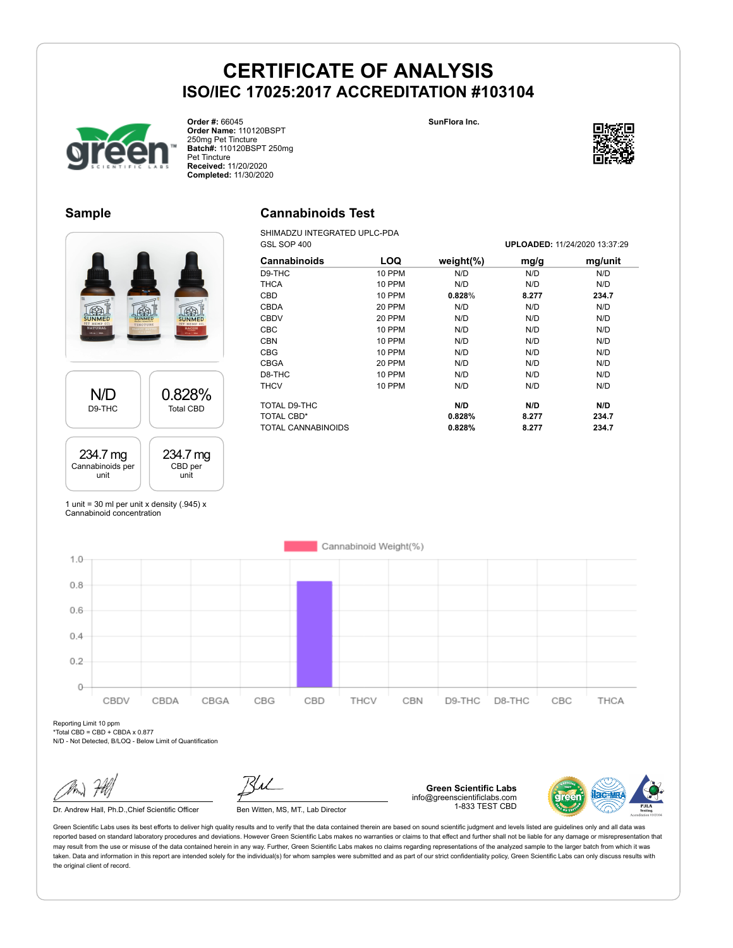



**Order #:** 66045 **Order Name:** 110120BSPT 250mg Pet Tincture **Batch#:** 110120BSPT 250mg Pet Tincture **Received:** 11/20/2020 **Completed:** 11/30/2020



GSL SOP 400 **UPLOADED:** 11/24/2020 13:37:29

#### **Sample**



SHIMADZU INTEGRATED UPLC-PDA<br>GSL SOP 400

| 脂<br>782<br><b>NATURAL</b><br>$111 \omega$   20m | Ing<br>BACON     |
|--------------------------------------------------|------------------|
| N/D                                              | 0.828%           |
| D9-THC                                           | <b>Total CBD</b> |
| 234.7 mg                                         | 234.7 mg         |
| Cannabinoids per                                 | CBD per          |
| unit                                             | unit             |

| <b>Cannabinoids</b>       | <b>LOQ</b>    | weight $(\%)$ | mg/g  | mg/unit |
|---------------------------|---------------|---------------|-------|---------|
| D9-THC                    | 10 PPM        | N/D           | N/D   | N/D     |
| <b>THCA</b>               | <b>10 PPM</b> | N/D           | N/D   | N/D     |
| <b>CBD</b>                | 10 PPM        | 0.828%        | 8.277 | 234.7   |
| <b>CBDA</b>               | 20 PPM        | N/D           | N/D   | N/D     |
| <b>CBDV</b>               | 20 PPM        | N/D           | N/D   | N/D     |
| <b>CBC</b>                | <b>10 PPM</b> | N/D           | N/D   | N/D     |
| <b>CBN</b>                | 10 PPM        | N/D           | N/D   | N/D     |
| <b>CBG</b>                | 10 PPM        | N/D           | N/D   | N/D     |
| <b>CBGA</b>               | 20 PPM        | N/D           | N/D   | N/D     |
| D8-THC                    | <b>10 PPM</b> | N/D           | N/D   | N/D     |
| <b>THCV</b>               | 10 PPM        | N/D           | N/D   | N/D     |
| TOTAL D9-THC              |               | N/D           | N/D   | N/D     |
| <b>TOTAL CBD*</b>         |               | 0.828%        | 8.277 | 234.7   |
| <b>TOTAL CANNABINOIDS</b> |               | 0.828%        | 8.277 | 234.7   |

1 unit = 30 ml per unit x density  $(.945)$  x Cannabinoid concentration



Reporting Limit 10 ppm  $*$ Total CBD = CBD + CBDA x 0.877

N/D - Not Detected, B/LOQ - Below Limit of Quantification

Dr. Andrew Hall, Ph.D., Chief Scientific Officer Ben Witten, MS, MT., Lab Director

**Green Scientific Labs** info@greenscientificlabs.com 1-833 TEST CBD

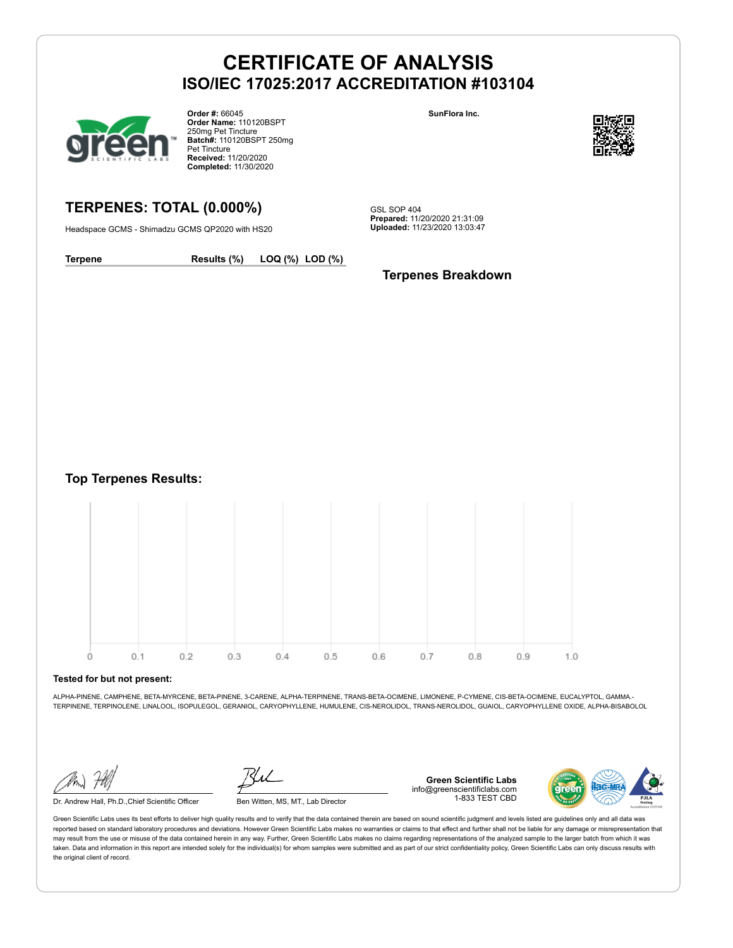

**Order #:** 66045 **Order Name:** 110120BSPT 250mg Pet Tincture **Batch#:** 110120BSPT 250mg Pet Tincture **Received:** 11/20/2020 **Completed:** 11/30/2020

# **SunFlora Inc.**



# **TERPENES: TOTAL (0.000%)**

Headspace GCMS - Shimadzu GCMS QP2020 with HS20

GSL SOP 404 **Prepared:** 11/20/2020 21:31:09 **Uploaded:** 11/23/2020 13:03:47

**Terpene Results (%) LOQ (%) LOD (%)**

#### **Terpenes Breakdown**

**Top Terpenes Results:**



#### **Tested for but not present:**

ALPHA-PINENE, CAMPHENE, BETA-MYRCENE, BETA-PINENE, 3-CARENE, ALPHA-TERPINENE, TRANS-BETA-OCIMENE, LIMONENE, P-CYMENE, CIS-BETA-OCIMENE, EUCALYPTOL, GAMMA.- TERPINENE, TERPINOLENE, LINALOOL, ISOPULEGOL, GERANIOL, CARYOPHYLLENE, HUMULENE, CIS-NEROLIDOL, TRANS-NEROLIDOL, GUAIOL, CARYOPHYLLENE OXIDE, ALPHA-BISABOLOL

Dr. Andrew Hall, Ph.D.,Chief Scientific Officer Ben Witten, MS, MT., Lab Director

**Green Scientific Labs** info@greenscientificlabs.com 1-833 TEST CBD

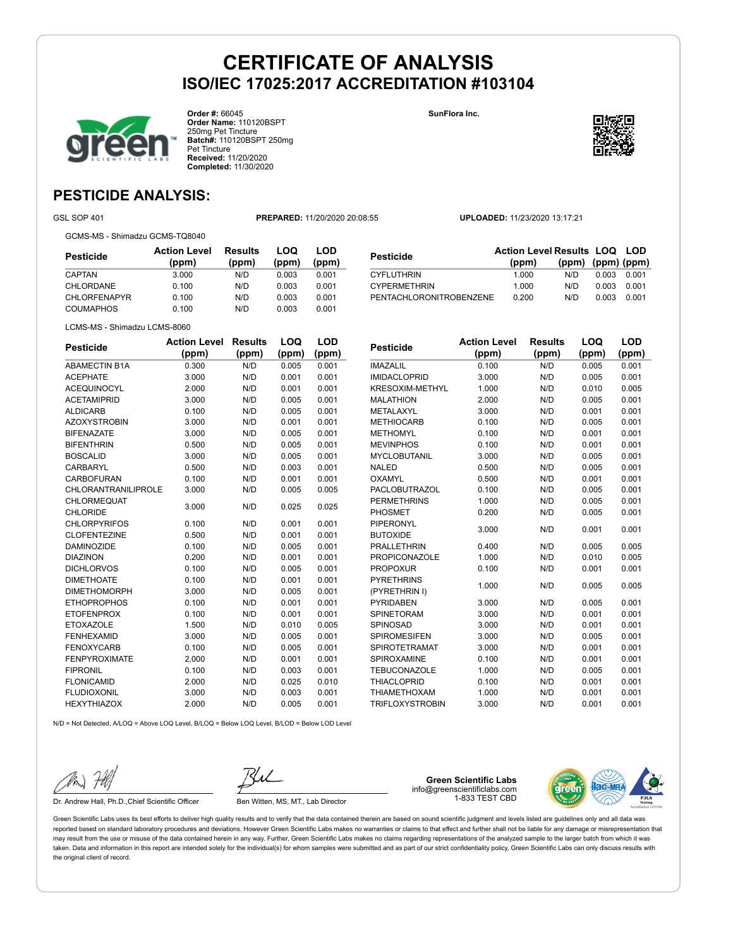



**Order #:** 66045 **Order Name:** 110120BSPT 250mg Pet Tincture **Batch#:** 110120BSPT 250mg Pet Tincture **Received:** 11/20/2020 **Completed:** 11/30/2020



**LOD**

# **PESTICIDE ANALYSIS:**

GSL SOP 401 **PREPARED:** 11/20/2020 20:08:55 **UPLOADED:** 11/23/2020 13:17:21

GCMS-MS - Shimadzu GCMS-TQ8040

| Pesticide           | <b>Action Level</b><br>(ppm) | <b>Results</b><br>(ppm) | LOQ<br>(ppm) | LOD<br>(ppm) |
|---------------------|------------------------------|-------------------------|--------------|--------------|
| CAPTAN              | 3.000                        | N/D                     | 0.003        | 0.001        |
| CHLORDANE           | 0.100                        | N/D                     | 0.003        | 0.001        |
| <b>CHLORFENAPYR</b> | 0.100                        | N/D                     | 0.003        | 0.001        |
| COUMAPHOS           | 0.100                        | N/D                     | 0.003        | 0.001        |

|                         | <b>Action Level Results LOQ LOD</b> |                   |       |       |
|-------------------------|-------------------------------------|-------------------|-------|-------|
| <b>Pesticide</b>        | (ppm)                               | (ppm) (ppm) (ppm) |       |       |
| <b>CYFLUTHRIN</b>       | 1.000                               | N/D               | 0.003 | 0.001 |
| <b>CYPERMETHRIN</b>     | 1.000                               | N/D               | 0.003 | 0.001 |
| PENTACHLORONITROBENZENE | 0.200                               | N/D               | 0.003 | 0.001 |

LCMS-MS - Shimadzu LCMS-8060

| (ppm)<br>(ppm)<br>(ppm)<br>(ppm)<br>0.300<br>N/D<br>0.005<br>0.001<br>0.001<br>3.000<br>0.001<br>N/D<br><b>ACEQUINOCYL</b><br>2.000<br>0.001<br>0.001<br>N/D<br>0.005<br><b>ACETAMIPRID</b><br>3.000<br>N/D<br>0.001<br><b>ALDICARB</b><br>0.100<br>N/D<br>0.005<br>0.001<br>3.000<br>N/D<br>0.001<br>0.001<br><b>BIFENAZATE</b><br>3.000<br>N/D<br>0.005<br>0.001<br><b>BIFENTHRIN</b><br>0.500<br>N/D<br>0.005<br>0.001<br><b>BOSCALID</b><br>3.000<br>N/D<br>0.005<br>0.001<br><b>CARBARYL</b><br>0.500<br>0.003<br>0.001<br>N/D<br><b>CARBOFURAN</b><br>0.100<br>0.001<br>N/D<br>0.001<br><b>CHLORANTRANILIPROLE</b><br>3.000<br>N/D<br>0.005<br>0.005<br>CHLORMEQUAT<br>N/D<br>3.000<br>0.025<br>0.025<br><b>CHLORIDE</b><br><b>CHLORPYRIFOS</b><br>N/D<br>0.100<br>0.001<br>0.001<br><b>CLOFENTEZINE</b><br>N/D<br>0.001<br>0.001<br>0.500<br><b>DAMINOZIDE</b><br>0.100<br>0.005<br>0.001<br>N/D<br><b>DIAZINON</b><br>0.001<br>0.001<br>0.200<br>N/D<br><b>DICHLORVOS</b><br>0.100<br>N/D<br>0.005<br>0.001<br><b>DIMETHOATE</b><br>0.100<br>N/D<br>0.001<br>0.001<br><b>DIMETHOMORPH</b><br>3.000<br>N/D<br>0.005<br>0.001<br><b>ETHOPROPHOS</b><br>0.100<br>N/D<br>0.001<br>0.001<br><b>ETOFENPROX</b><br>0.100<br>0.001<br>0.001<br>N/D<br><b>ETOXAZOLE</b><br>1.500<br>N/D<br>0.010<br>0.005<br><b>FENHEXAMID</b><br>3.000<br>N/D<br>0.005<br>0.001<br>0.005<br>0.001<br><b>FENOXYCARB</b><br>0.100<br>N/D<br><b>FENPYROXIMATE</b><br>2.000<br>N/D<br>0.001<br>0.001<br><b>FIPRONIL</b><br>0.100<br>N/D<br>0.003<br>0.001<br><b>FLONICAMID</b><br>2.000<br>N/D<br>0.025<br>0.010<br><b>FLUDIOXONIL</b><br>3.000<br>0.003<br>0.001<br>N/D<br><b>HEXYTHIAZOX</b><br>2.000<br>N/D<br>0.005<br>0.001 | <b>Pesticide</b>     | <b>Action Level</b> | <b>Results</b> | LOQ | LOD |
|--------------------------------------------------------------------------------------------------------------------------------------------------------------------------------------------------------------------------------------------------------------------------------------------------------------------------------------------------------------------------------------------------------------------------------------------------------------------------------------------------------------------------------------------------------------------------------------------------------------------------------------------------------------------------------------------------------------------------------------------------------------------------------------------------------------------------------------------------------------------------------------------------------------------------------------------------------------------------------------------------------------------------------------------------------------------------------------------------------------------------------------------------------------------------------------------------------------------------------------------------------------------------------------------------------------------------------------------------------------------------------------------------------------------------------------------------------------------------------------------------------------------------------------------------------------------------------------------------------------------------------------------------------------------------------------------------------------|----------------------|---------------------|----------------|-----|-----|
|                                                                                                                                                                                                                                                                                                                                                                                                                                                                                                                                                                                                                                                                                                                                                                                                                                                                                                                                                                                                                                                                                                                                                                                                                                                                                                                                                                                                                                                                                                                                                                                                                                                                                                              |                      |                     |                |     |     |
|                                                                                                                                                                                                                                                                                                                                                                                                                                                                                                                                                                                                                                                                                                                                                                                                                                                                                                                                                                                                                                                                                                                                                                                                                                                                                                                                                                                                                                                                                                                                                                                                                                                                                                              | <b>ABAMECTIN B1A</b> |                     |                |     |     |
|                                                                                                                                                                                                                                                                                                                                                                                                                                                                                                                                                                                                                                                                                                                                                                                                                                                                                                                                                                                                                                                                                                                                                                                                                                                                                                                                                                                                                                                                                                                                                                                                                                                                                                              | <b>ACEPHATE</b>      |                     |                |     |     |
|                                                                                                                                                                                                                                                                                                                                                                                                                                                                                                                                                                                                                                                                                                                                                                                                                                                                                                                                                                                                                                                                                                                                                                                                                                                                                                                                                                                                                                                                                                                                                                                                                                                                                                              |                      |                     |                |     |     |
|                                                                                                                                                                                                                                                                                                                                                                                                                                                                                                                                                                                                                                                                                                                                                                                                                                                                                                                                                                                                                                                                                                                                                                                                                                                                                                                                                                                                                                                                                                                                                                                                                                                                                                              |                      |                     |                |     |     |
|                                                                                                                                                                                                                                                                                                                                                                                                                                                                                                                                                                                                                                                                                                                                                                                                                                                                                                                                                                                                                                                                                                                                                                                                                                                                                                                                                                                                                                                                                                                                                                                                                                                                                                              |                      |                     |                |     |     |
|                                                                                                                                                                                                                                                                                                                                                                                                                                                                                                                                                                                                                                                                                                                                                                                                                                                                                                                                                                                                                                                                                                                                                                                                                                                                                                                                                                                                                                                                                                                                                                                                                                                                                                              | <b>AZOXYSTROBIN</b>  |                     |                |     |     |
|                                                                                                                                                                                                                                                                                                                                                                                                                                                                                                                                                                                                                                                                                                                                                                                                                                                                                                                                                                                                                                                                                                                                                                                                                                                                                                                                                                                                                                                                                                                                                                                                                                                                                                              |                      |                     |                |     |     |
|                                                                                                                                                                                                                                                                                                                                                                                                                                                                                                                                                                                                                                                                                                                                                                                                                                                                                                                                                                                                                                                                                                                                                                                                                                                                                                                                                                                                                                                                                                                                                                                                                                                                                                              |                      |                     |                |     |     |
|                                                                                                                                                                                                                                                                                                                                                                                                                                                                                                                                                                                                                                                                                                                                                                                                                                                                                                                                                                                                                                                                                                                                                                                                                                                                                                                                                                                                                                                                                                                                                                                                                                                                                                              |                      |                     |                |     |     |
|                                                                                                                                                                                                                                                                                                                                                                                                                                                                                                                                                                                                                                                                                                                                                                                                                                                                                                                                                                                                                                                                                                                                                                                                                                                                                                                                                                                                                                                                                                                                                                                                                                                                                                              |                      |                     |                |     |     |
|                                                                                                                                                                                                                                                                                                                                                                                                                                                                                                                                                                                                                                                                                                                                                                                                                                                                                                                                                                                                                                                                                                                                                                                                                                                                                                                                                                                                                                                                                                                                                                                                                                                                                                              |                      |                     |                |     |     |
|                                                                                                                                                                                                                                                                                                                                                                                                                                                                                                                                                                                                                                                                                                                                                                                                                                                                                                                                                                                                                                                                                                                                                                                                                                                                                                                                                                                                                                                                                                                                                                                                                                                                                                              |                      |                     |                |     |     |
|                                                                                                                                                                                                                                                                                                                                                                                                                                                                                                                                                                                                                                                                                                                                                                                                                                                                                                                                                                                                                                                                                                                                                                                                                                                                                                                                                                                                                                                                                                                                                                                                                                                                                                              |                      |                     |                |     |     |
|                                                                                                                                                                                                                                                                                                                                                                                                                                                                                                                                                                                                                                                                                                                                                                                                                                                                                                                                                                                                                                                                                                                                                                                                                                                                                                                                                                                                                                                                                                                                                                                                                                                                                                              |                      |                     |                |     |     |
|                                                                                                                                                                                                                                                                                                                                                                                                                                                                                                                                                                                                                                                                                                                                                                                                                                                                                                                                                                                                                                                                                                                                                                                                                                                                                                                                                                                                                                                                                                                                                                                                                                                                                                              |                      |                     |                |     |     |
|                                                                                                                                                                                                                                                                                                                                                                                                                                                                                                                                                                                                                                                                                                                                                                                                                                                                                                                                                                                                                                                                                                                                                                                                                                                                                                                                                                                                                                                                                                                                                                                                                                                                                                              |                      |                     |                |     |     |
|                                                                                                                                                                                                                                                                                                                                                                                                                                                                                                                                                                                                                                                                                                                                                                                                                                                                                                                                                                                                                                                                                                                                                                                                                                                                                                                                                                                                                                                                                                                                                                                                                                                                                                              |                      |                     |                |     |     |
|                                                                                                                                                                                                                                                                                                                                                                                                                                                                                                                                                                                                                                                                                                                                                                                                                                                                                                                                                                                                                                                                                                                                                                                                                                                                                                                                                                                                                                                                                                                                                                                                                                                                                                              |                      |                     |                |     |     |
|                                                                                                                                                                                                                                                                                                                                                                                                                                                                                                                                                                                                                                                                                                                                                                                                                                                                                                                                                                                                                                                                                                                                                                                                                                                                                                                                                                                                                                                                                                                                                                                                                                                                                                              |                      |                     |                |     |     |
|                                                                                                                                                                                                                                                                                                                                                                                                                                                                                                                                                                                                                                                                                                                                                                                                                                                                                                                                                                                                                                                                                                                                                                                                                                                                                                                                                                                                                                                                                                                                                                                                                                                                                                              |                      |                     |                |     |     |
|                                                                                                                                                                                                                                                                                                                                                                                                                                                                                                                                                                                                                                                                                                                                                                                                                                                                                                                                                                                                                                                                                                                                                                                                                                                                                                                                                                                                                                                                                                                                                                                                                                                                                                              |                      |                     |                |     |     |
|                                                                                                                                                                                                                                                                                                                                                                                                                                                                                                                                                                                                                                                                                                                                                                                                                                                                                                                                                                                                                                                                                                                                                                                                                                                                                                                                                                                                                                                                                                                                                                                                                                                                                                              |                      |                     |                |     |     |
|                                                                                                                                                                                                                                                                                                                                                                                                                                                                                                                                                                                                                                                                                                                                                                                                                                                                                                                                                                                                                                                                                                                                                                                                                                                                                                                                                                                                                                                                                                                                                                                                                                                                                                              |                      |                     |                |     |     |
|                                                                                                                                                                                                                                                                                                                                                                                                                                                                                                                                                                                                                                                                                                                                                                                                                                                                                                                                                                                                                                                                                                                                                                                                                                                                                                                                                                                                                                                                                                                                                                                                                                                                                                              |                      |                     |                |     |     |
|                                                                                                                                                                                                                                                                                                                                                                                                                                                                                                                                                                                                                                                                                                                                                                                                                                                                                                                                                                                                                                                                                                                                                                                                                                                                                                                                                                                                                                                                                                                                                                                                                                                                                                              |                      |                     |                |     |     |
|                                                                                                                                                                                                                                                                                                                                                                                                                                                                                                                                                                                                                                                                                                                                                                                                                                                                                                                                                                                                                                                                                                                                                                                                                                                                                                                                                                                                                                                                                                                                                                                                                                                                                                              |                      |                     |                |     |     |
|                                                                                                                                                                                                                                                                                                                                                                                                                                                                                                                                                                                                                                                                                                                                                                                                                                                                                                                                                                                                                                                                                                                                                                                                                                                                                                                                                                                                                                                                                                                                                                                                                                                                                                              |                      |                     |                |     |     |
|                                                                                                                                                                                                                                                                                                                                                                                                                                                                                                                                                                                                                                                                                                                                                                                                                                                                                                                                                                                                                                                                                                                                                                                                                                                                                                                                                                                                                                                                                                                                                                                                                                                                                                              |                      |                     |                |     |     |
|                                                                                                                                                                                                                                                                                                                                                                                                                                                                                                                                                                                                                                                                                                                                                                                                                                                                                                                                                                                                                                                                                                                                                                                                                                                                                                                                                                                                                                                                                                                                                                                                                                                                                                              |                      |                     |                |     |     |
|                                                                                                                                                                                                                                                                                                                                                                                                                                                                                                                                                                                                                                                                                                                                                                                                                                                                                                                                                                                                                                                                                                                                                                                                                                                                                                                                                                                                                                                                                                                                                                                                                                                                                                              |                      |                     |                |     |     |
|                                                                                                                                                                                                                                                                                                                                                                                                                                                                                                                                                                                                                                                                                                                                                                                                                                                                                                                                                                                                                                                                                                                                                                                                                                                                                                                                                                                                                                                                                                                                                                                                                                                                                                              |                      |                     |                |     |     |

| <b>Pesticide</b>       | <b>Action Level</b> | <b>Results</b> | LOQ   | LOD   |
|------------------------|---------------------|----------------|-------|-------|
|                        | (ppm)               | (ppm)          | (ppm) | (ppm) |
| <b>IMAZALIL</b>        | 0.100               | N/D            | 0.005 | 0.001 |
| <b>IMIDACLOPRID</b>    | 3.000               | N/D            | 0.005 | 0.001 |
| <b>KRESOXIM-METHYL</b> | 1.000               | N/D            | 0.010 | 0.005 |
| <b>MALATHION</b>       | 2.000               | N/D            | 0.005 | 0.001 |
| <b>METALAXYL</b>       | 3.000               | N/D            | 0.001 | 0.001 |
| <b>METHIOCARB</b>      | 0.100               | N/D            | 0.005 | 0.001 |
| <b>METHOMYL</b>        | 0.100               | N/D            | 0.001 | 0.001 |
| <b>MEVINPHOS</b>       | 0.100               | N/D            | 0.001 | 0.001 |
| <b>MYCLOBUTANIL</b>    | 3.000               | N/D            | 0.005 | 0.001 |
| <b>NALED</b>           | 0.500               | N/D            | 0.005 | 0.001 |
| OXAMYL                 | 0.500               | N/D            | 0.001 | 0.001 |
| PACLOBUTRAZOL          | 0.100               | N/D            | 0.005 | 0.001 |
| <b>PERMETHRINS</b>     | 1.000               | N/D            | 0.005 | 0.001 |
| <b>PHOSMET</b>         | 0.200               | N/D            | 0.005 | 0.001 |
| <b>PIPERONYL</b>       |                     | N/D            | 0.001 | 0.001 |
| <b>BUTOXIDE</b>        | 3.000               |                |       |       |
| <b>PRALLETHRIN</b>     | 0.400               | N/D            | 0.005 | 0.005 |
| <b>PROPICONAZOLE</b>   | 1.000               | N/D            | 0.010 | 0.005 |
| <b>PROPOXUR</b>        | 0.100               | N/D            | 0.001 | 0.001 |
| <b>PYRETHRINS</b>      | 1.000               | N/D            | 0.005 | 0.005 |
| (PYRETHRIN I)          |                     |                |       |       |
| <b>PYRIDABEN</b>       | 3.000               | N/D            | 0.005 | 0.001 |
| <b>SPINETORAM</b>      | 3.000               | N/D            | 0.001 | 0.001 |
| SPINOSAD               | 3.000               | N/D            | 0.001 | 0.001 |
| <b>SPIROMESIFEN</b>    | 3.000               | N/D            | 0.005 | 0.001 |
| <b>SPIROTETRAMAT</b>   | 3.000               | N/D            | 0.001 | 0.001 |
| SPIROXAMINE            | 0.100               | N/D            | 0.001 | 0.001 |
| <b>TEBUCONAZOLE</b>    | 1.000               | N/D            | 0.005 | 0.001 |
| <b>THIACLOPRID</b>     | 0.100               | N/D            | 0.001 | 0.001 |
| <b>THIAMETHOXAM</b>    | 1.000               | N/D            | 0.001 | 0.001 |
| <b>TRIFLOXYSTROBIN</b> | 3.000               | N/D            | 0.001 | 0.001 |

N/D = Not Detected, A/LOQ = Above LOQ Level, B/LOQ = Below LOQ Level, B/LOD = Below LOD Level

Dr. Andrew Hall, Ph.D., Chief Scientific Officer Ben Witten, MS, MT., Lab Director

**Green Scientific Labs** info@greenscientificlabs.com 1-833 TEST CBD

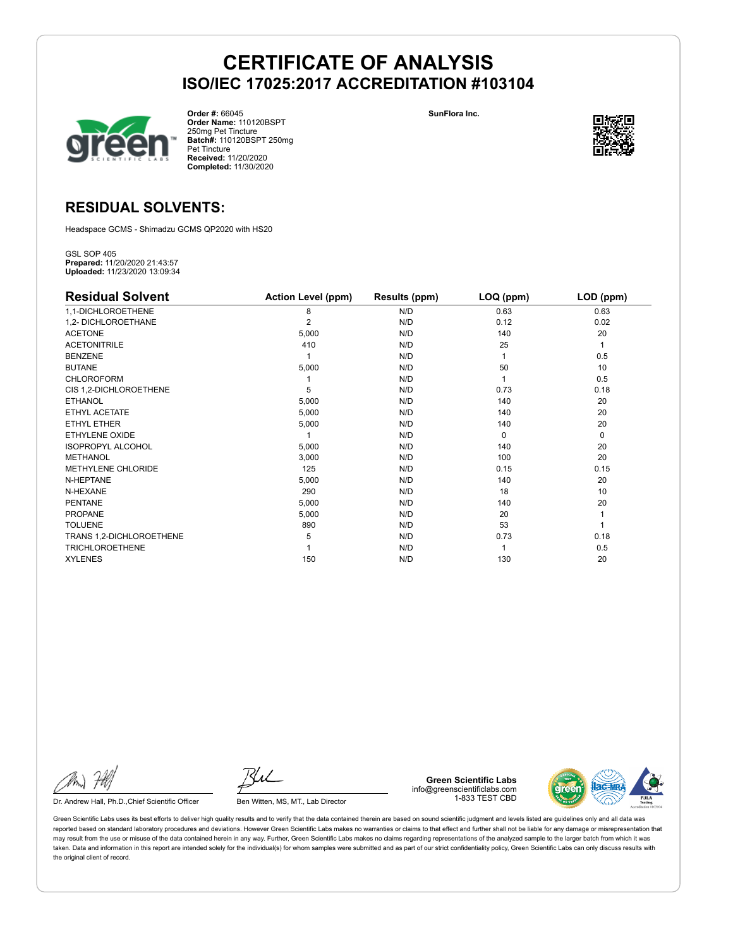

**Order #:** 66045 **Order Name:** 110120BSPT 250mg Pet Tincture **Batch#:** 110120BSPT 250mg Pet Tincture **Received:** 11/20/2020 **Completed:** 11/30/2020

**SunFlora Inc.**



# **RESIDUAL SOLVENTS:**

Headspace GCMS - Shimadzu GCMS QP2020 with HS20

GSL SOP 405 **Prepared:** 11/20/2020 21:43:57 **Uploaded:** 11/23/2020 13:09:34

| <b>Residual Solvent</b>  | <b>Action Level (ppm)</b> | Results (ppm) | LOQ (ppm) | LOD (ppm)   |
|--------------------------|---------------------------|---------------|-----------|-------------|
| 1,1-DICHLOROETHENE       | 8                         | N/D           | 0.63      | 0.63        |
| 1,2- DICHLOROETHANE      | $\overline{2}$            | N/D           | 0.12      | 0.02        |
| <b>ACETONE</b>           | 5,000                     | N/D           | 140       | 20          |
| <b>ACETONITRILE</b>      | 410                       | N/D           | 25        | 1           |
| <b>BENZENE</b>           |                           | N/D           |           | 0.5         |
| <b>BUTANE</b>            | 5,000                     | N/D           | 50        | 10          |
| <b>CHLOROFORM</b>        |                           | N/D           |           | 0.5         |
| CIS 1,2-DICHLOROETHENE   | 5                         | N/D           | 0.73      | 0.18        |
| <b>ETHANOL</b>           | 5,000                     | N/D           | 140       | 20          |
| ETHYL ACETATE            | 5,000                     | N/D           | 140       | 20          |
| ETHYL ETHER              | 5,000                     | N/D           | 140       | 20          |
| ETHYLENE OXIDE           |                           | N/D           | $\Omega$  | $\mathbf 0$ |
| <b>ISOPROPYL ALCOHOL</b> | 5,000                     | N/D           | 140       | 20          |
| <b>METHANOL</b>          | 3,000                     | N/D           | 100       | 20          |
| METHYLENE CHLORIDE       | 125                       | N/D           | 0.15      | 0.15        |
| N-HEPTANE                | 5,000                     | N/D           | 140       | 20          |
| N-HEXANE                 | 290                       | N/D           | 18        | 10          |
| <b>PENTANE</b>           | 5,000                     | N/D           | 140       | 20          |
| <b>PROPANE</b>           | 5,000                     | N/D           | 20        |             |
| <b>TOLUENE</b>           | 890                       | N/D           | 53        |             |
| TRANS 1,2-DICHLOROETHENE | 5                         | N/D           | 0.73      | 0.18        |
| <b>TRICHLOROETHENE</b>   |                           | N/D           |           | 0.5         |
| <b>XYLENES</b>           | 150                       | N/D           | 130       | 20          |

Dr. Andrew Hall, Ph.D., Chief Scientific Officer Ben Witten, MS, MT., Lab Director

**Green Scientific Labs** info@greenscientificlabs.com 1-833 TEST CBD

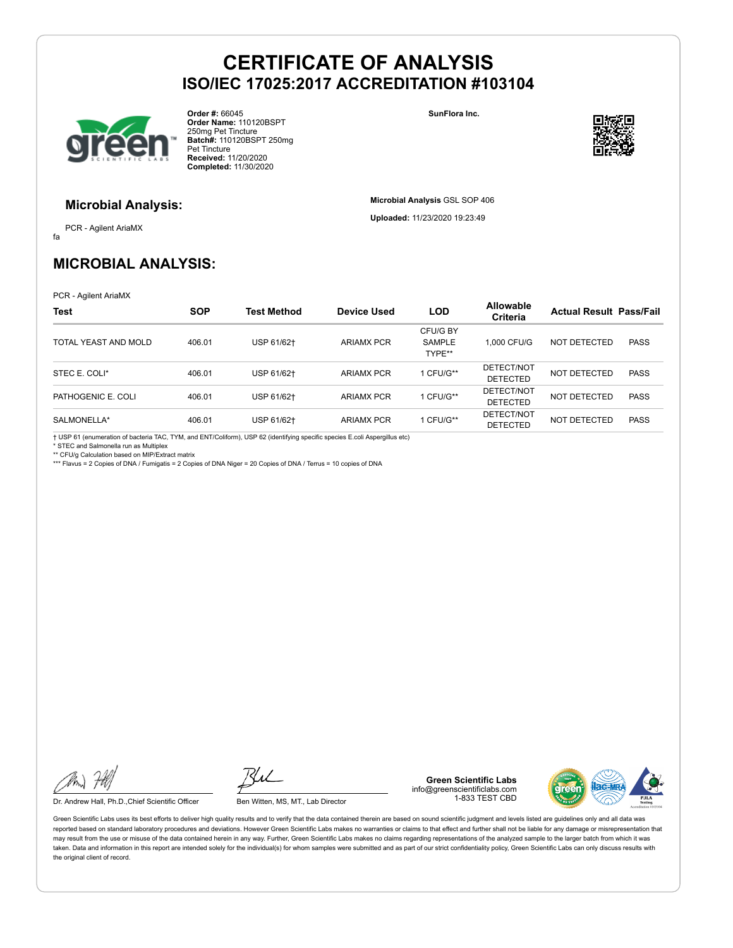

**Order #:** 66045 **Order Name:** 110120BSPT 250mg Pet Tincture **Batch#:** 110120BSPT 250mg Pet Tincture **Received:** 11/20/2020 **Completed:** 11/30/2020

**SunFlora Inc.**

**Microbial Analysis** GSL SOP 406 **Uploaded:** 11/23/2020 19:23:49



### **Microbial Analysis:**

fa PCR - Agilent AriaMX

# **MICROBIAL ANALYSIS:**

PCR - Agilent AriaMX

| <b>Test</b>          | <b>SOP</b> | <b>Test Method</b> | Device Used       | <b>LOD</b>                   | <b>Allowable</b><br>Criteria  | <b>Actual Result Pass/Fail</b> |             |
|----------------------|------------|--------------------|-------------------|------------------------------|-------------------------------|--------------------------------|-------------|
| TOTAL YEAST AND MOLD | 406.01     | USP 61/62+         | <b>ARIAMX PCR</b> | CFU/G BY<br>SAMPLE<br>TYPE** | 1.000 CFU/G                   | NOT DETECTED                   | <b>PASS</b> |
| STEC E. COLI*        | 406.01     | USP 61/62+         | <b>ARIAMX PCR</b> | 1 CFU/G**                    | DETECT/NOT<br><b>DETECTED</b> | NOT DETECTED                   | <b>PASS</b> |
| PATHOGENIC E. COLI   | 406.01     | USP 61/62+         | <b>ARIAMX PCR</b> | 1 CFU/G**                    | DETECT/NOT<br><b>DETECTED</b> | NOT DETECTED                   | <b>PASS</b> |
| SALMONELLA*          | 406.01     | USP 61/62+         | <b>ARIAMX PCR</b> | 1 CFU/G**                    | DETECT/NOT<br><b>DETECTED</b> | NOT DETECTED                   | <b>PASS</b> |

† USP 61 (enumeration of bacteria TAC, TYM, and ENT/Coliform), USP 62 (identifying specific species E.coli Aspergillus etc) \* STEC and Salmonella run as Multiplex

\*\* CFU/g Calculation based on MIP/Extract matrix \*\*\* Flavus = 2 Copies of DNA / Fumigatis = 2 Copies of DNA Niger = 20 Copies of DNA / Terrus = 10 copies of DNA

Dr. Andrew Hall, Ph.D., Chief Scientific Officer Ben Witten, MS, MT., Lab Director

**Green Scientific Labs** info@greenscientificlabs.com 1-833 TEST CBD